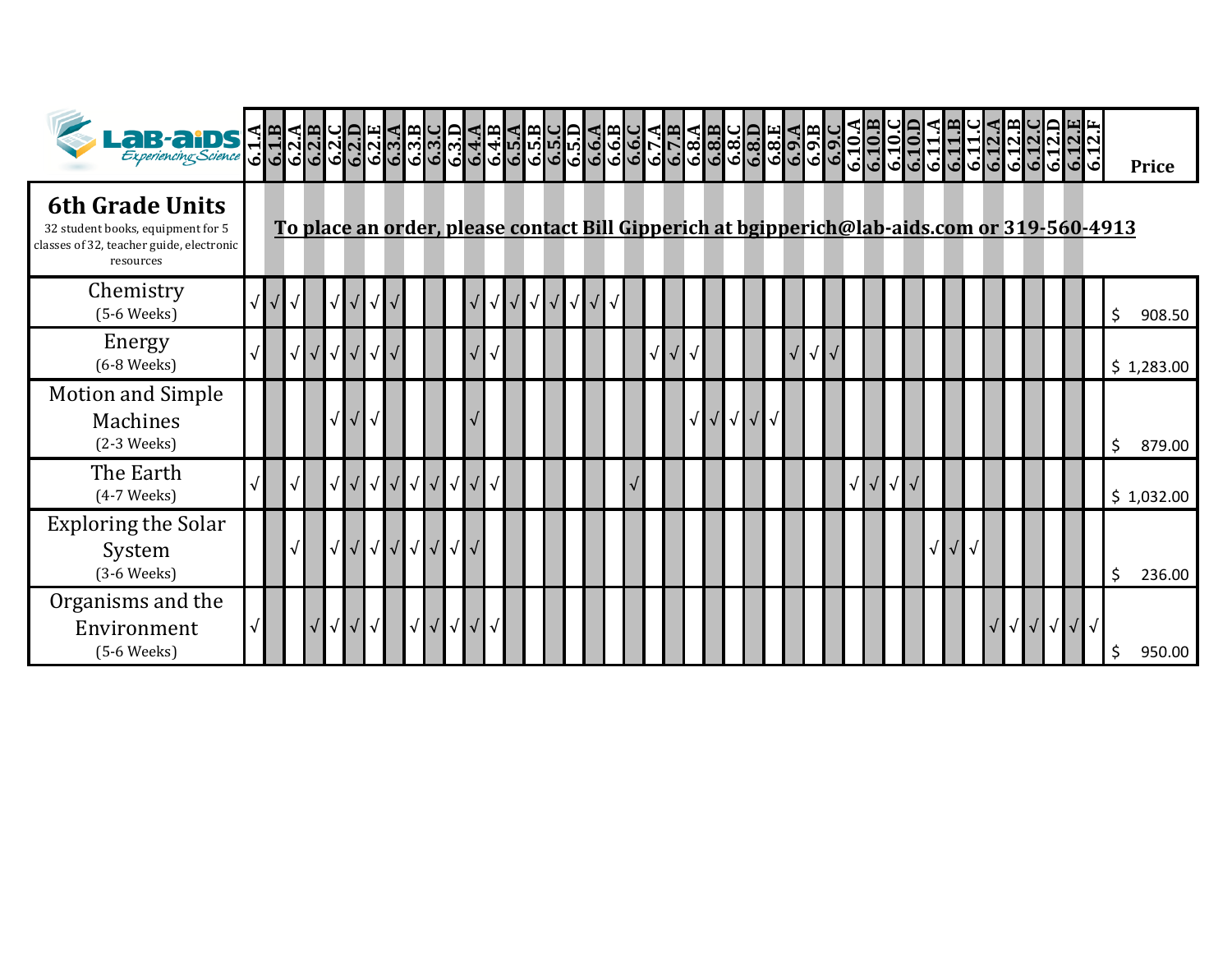| $\text{L}$ a B-a iDS $\frac{1}{5}$ H                                                                                 |  |  |                      |            |            |           |                                                   |  |            |  |    |            |            |  |  |  |                   |  |   |  |            |                               |  |  |       |  | ات |                                                                                             | <b>Price</b> |  |
|----------------------------------------------------------------------------------------------------------------------|--|--|----------------------|------------|------------|-----------|---------------------------------------------------|--|------------|--|----|------------|------------|--|--|--|-------------------|--|---|--|------------|-------------------------------|--|--|-------|--|----|---------------------------------------------------------------------------------------------|--------------|--|
| <b>6th Grade Units</b><br>32 student books, equipment for 5<br>classes of 32, teacher guide, electronic<br>resources |  |  |                      |            |            |           |                                                   |  |            |  |    |            |            |  |  |  |                   |  |   |  |            |                               |  |  |       |  |    | To place an order, please contact Bill Gipperich at bgipperich@lab-aids.com or 319-560-4913 |              |  |
| Chemistry<br>$(5-6$ Weeks)                                                                                           |  |  | √                    |            | √          |           |                                                   |  | / ∎√       |  | ▎√ | $\sqrt{ }$ | $\sqrt{ }$ |  |  |  |                   |  |   |  |            |                               |  |  |       |  |    | \$                                                                                          | 908.50       |  |
| Energy<br>$(6-8$ Weeks $)$                                                                                           |  |  | √                    | $\sqrt{ }$ | $\sqrt{}$  |           |                                                   |  |            |  |    |            |            |  |  |  |                   |  | √ |  |            |                               |  |  |       |  |    |                                                                                             | \$1,283.00   |  |
| <b>Motion and Simple</b><br>Machines<br>$(2-3$ Weeks $)$                                                             |  |  | √                    |            | √          |           |                                                   |  |            |  |    |            |            |  |  |  | $\sqrt{\sqrt{2}}$ |  |   |  |            |                               |  |  |       |  |    | \$                                                                                          | 879.00       |  |
| The Earth<br>$(4-7$ Weeks)                                                                                           |  |  | √                    |            | $\sqrt{ }$ | $\sqrt{}$ | $\sqrt{\sqrt{\sqrt{\sqrt{\sqrt{\sqrt{\cdots}}}}}$ |  | $\sqrt{ }$ |  |    |            |            |  |  |  |                   |  |   |  | $\sqrt{ }$ | $\sqrt{ \sqrt{25} \sqrt{25}}$ |  |  |       |  |    |                                                                                             | \$1,032.00   |  |
| <b>Exploring the Solar</b><br>System<br>$(3-6$ Weeks $)$                                                             |  |  | $\sqrt{\phantom{a}}$ |            |            | √√√√√     |                                                   |  |            |  |    |            |            |  |  |  |                   |  |   |  |            |                               |  |  |       |  |    | \$                                                                                          | 236.00       |  |
| Organisms and the<br>Environment<br>$(5-6$ Weeks)                                                                    |  |  | $\sqrt{}$            | $\sqrt{}$  | $\sqrt{}$  |           | ╹╿┙╿┙                                             |  |            |  |    |            |            |  |  |  |                   |  |   |  |            |                               |  |  | √√√√√ |  |    | \$                                                                                          | 950.00       |  |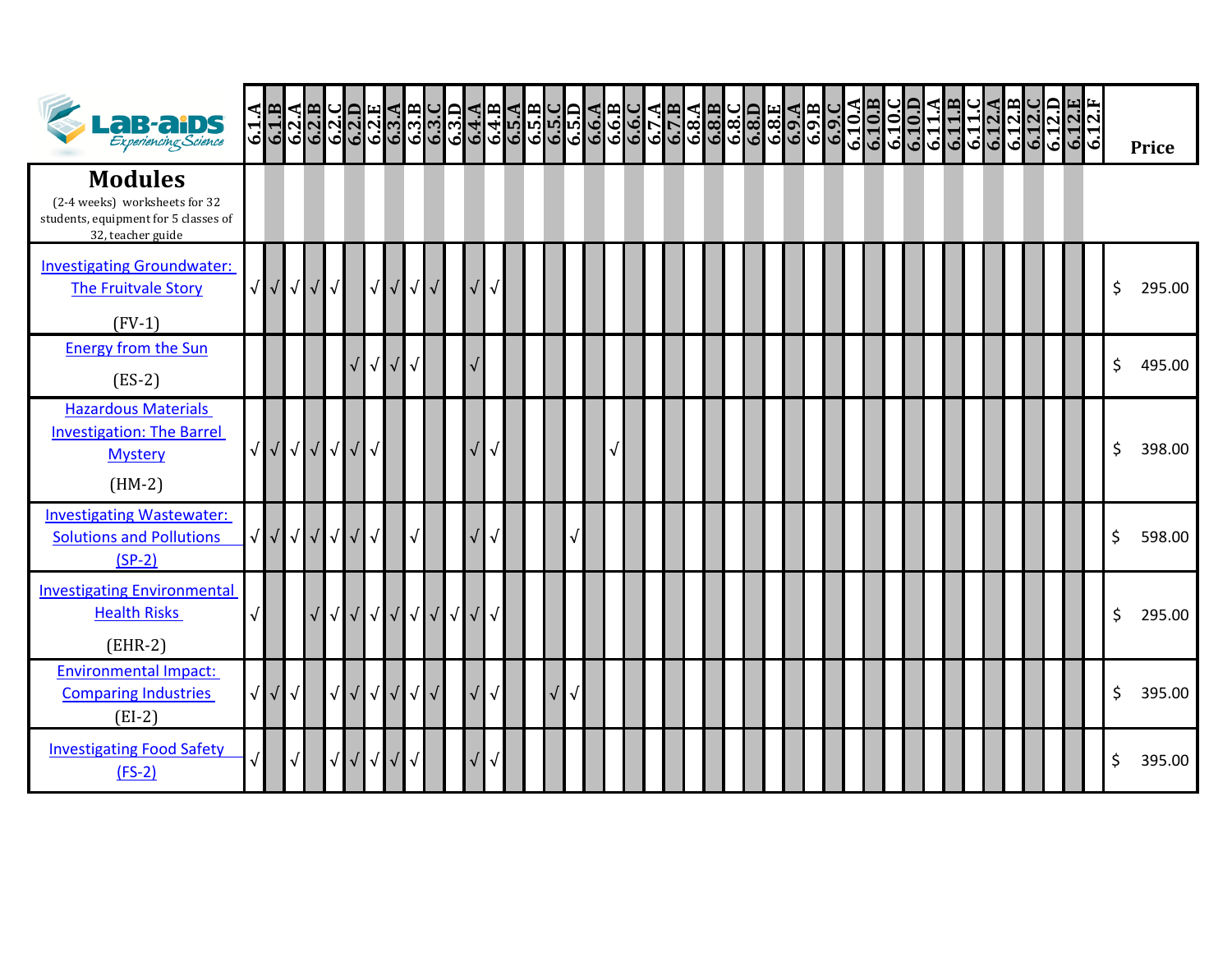| <b>LaB-aiDS</b>                                                                                              | 6.1A                      |           |       |            |                   |            |                      |                      |                  |            |  |  |  |  |  |  |  |  |  |  |  |  |  |  | 6.12.1 |    | <b>Price</b> |
|--------------------------------------------------------------------------------------------------------------|---------------------------|-----------|-------|------------|-------------------|------------|----------------------|----------------------|------------------|------------|--|--|--|--|--|--|--|--|--|--|--|--|--|--|--------|----|--------------|
| <b>Modules</b><br>(2-4 weeks) worksheets for 32<br>students, equipment for 5 classes of<br>32, teacher guide |                           |           |       |            |                   |            |                      |                      |                  |            |  |  |  |  |  |  |  |  |  |  |  |  |  |  |        |    |              |
| <b>Investigating Groundwater:</b><br>The Fruitvale Story<br>$(FV-1)$                                         | √√√√                      |           |       | $\sqrt{ }$ | √                 | $\sqrt{ }$ | $\sqrt{ }$           | $\sqrt{\phantom{a}}$ |                  | $\sqrt{}$  |  |  |  |  |  |  |  |  |  |  |  |  |  |  |        | \$ | 295.00       |
| <b>Energy from the Sun</b><br>$(ES-2)$                                                                       |                           |           |       |            | $\sqrt{ }$        | $\sqrt{ }$ | $\sqrt{ }$           |                      |                  |            |  |  |  |  |  |  |  |  |  |  |  |  |  |  |        | \$ | 495.00       |
| <b>Hazardous Materials</b><br><b>Investigation: The Barrel</b><br><b>Mystery</b><br>$(HM-2)$                 |                           |           | √√√√√ |            |                   |            |                      |                      |                  |            |  |  |  |  |  |  |  |  |  |  |  |  |  |  |        | \$ | 398.00       |
| <b>Investigating Wastewater:</b><br><b>Solutions and Pollutions</b><br>$(SP-2)$                              | √ / / / / / /             |           |       |            | $\sqrt{ }$        |            | $\sqrt{\phantom{a}}$ |                      |                  | $\sqrt{ }$ |  |  |  |  |  |  |  |  |  |  |  |  |  |  |        | \$ | 598.00       |
| <b>Investigating Environmental</b><br><b>Health Risks</b><br>$(EHR-2)$                                       |                           |           |       | $\sqrt{}$  | $\sqrt{\sqrt{\}}$ |            | $\sqrt{ }$           | $\sqrt{ }$           | $\sqrt{\sqrt{}}$ |            |  |  |  |  |  |  |  |  |  |  |  |  |  |  |        | \$ | 295.00       |
| <b>Environmental Impact:</b><br><b>Comparing Industries</b><br>$(EI-2)$                                      | $\sqrt{\sqrt{\sqrt{\ }}}$ |           |       | $\sqrt{}$  | $\sqrt{\sqrt{}}$  | $\sqrt{ }$ | $\sqrt{ }$           | $\sqrt{ }$           |                  | $\sqrt{ }$ |  |  |  |  |  |  |  |  |  |  |  |  |  |  |        | \$ | 395.00       |
| <b>Investigating Food Safety</b><br>$(FS-2)$                                                                 |                           | $\sqrt{}$ |       | $\sqrt{ }$ | $\sqrt{\sqrt{2}}$ | $\sqrt{ }$ |                      |                      |                  |            |  |  |  |  |  |  |  |  |  |  |  |  |  |  |        | \$ | 395.00       |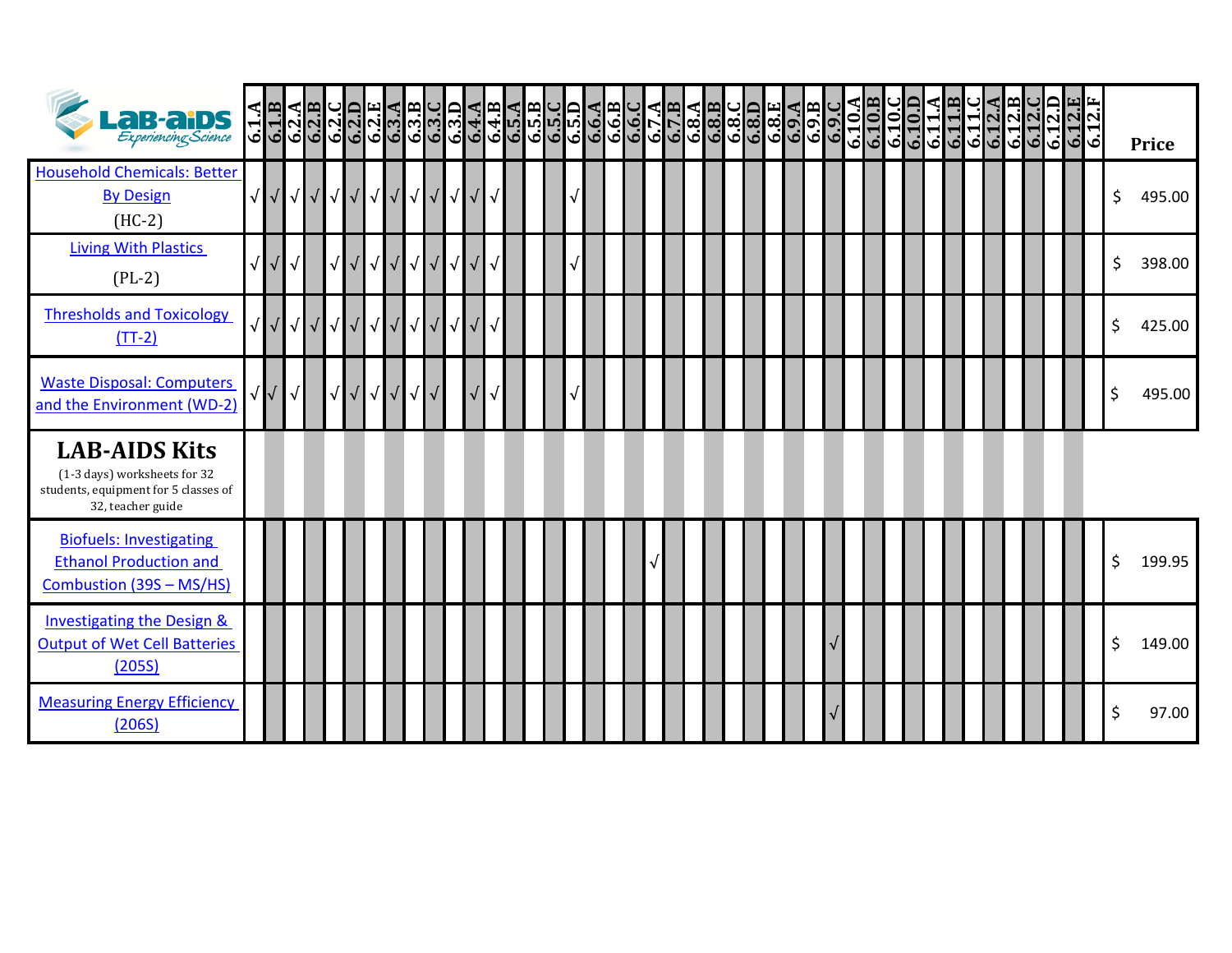| <b>La B-al DS</b><br>Experiencing Science                                                                         | $6.1.\overline{AB}$   |            |            |           |                          |                  |            |                  |            |                                                          |  |  |  |  |  |  |  |  |  |  |  | $\frac{6.10}{6.101}$ |  |  |  |  |  | <b>Price</b> |  |
|-------------------------------------------------------------------------------------------------------------------|-----------------------|------------|------------|-----------|--------------------------|------------------|------------|------------------|------------|----------------------------------------------------------|--|--|--|--|--|--|--|--|--|--|--|----------------------|--|--|--|--|--|--------------|--|
| <b>Household Chemicals: Better</b><br><b>By Design</b><br>$(HC-2)$                                                |                       | <b>VVV</b> | $\sqrt{ }$ |           |                          |                  |            |                  |            | <b>│</b> √│√│√│√│√│                                      |  |  |  |  |  |  |  |  |  |  |  |                      |  |  |  |  |  | \$<br>495.00 |  |
| <b>Living With Plastics</b><br>$(PL-2)$                                                                           |                       | $\sqrt{ }$ |            | √         |                          | $\sqrt{ }$       | $\sqrt{ }$ | $\sqrt{\sqrt{}}$ |            | $\sqrt{\sqrt{}}$                                         |  |  |  |  |  |  |  |  |  |  |  |                      |  |  |  |  |  | \$<br>398.00 |  |
| <b>Thresholds and Toxicology</b><br>$(TT-2)$                                                                      |                       |            | $\sqrt{ }$ |           |                          | $\sqrt{\sqrt{}}$ |            |                  |            | $\sqrt{\sqrt{\sqrt{\sqrt{\sqrt{\sqrt{\sqrt{\cdots}}}}}}$ |  |  |  |  |  |  |  |  |  |  |  |                      |  |  |  |  |  | \$<br>425.00 |  |
| <b>Waste Disposal: Computers</b><br>and the Environment (WD-2)                                                    | $\overline{\sqrt{ }}$ | $\sqrt{ }$ |            | $\sqrt{}$ | $\sqrt{ }$<br>$\sqrt{2}$ | $\sqrt{ }$       |            | $\sqrt{ }$       | $\sqrt{2}$ |                                                          |  |  |  |  |  |  |  |  |  |  |  |                      |  |  |  |  |  | 495.00       |  |
| <b>LAB-AIDS Kits</b><br>(1-3 days) worksheets for 32<br>students, equipment for 5 classes of<br>32, teacher guide |                       |            |            |           |                          |                  |            |                  |            |                                                          |  |  |  |  |  |  |  |  |  |  |  |                      |  |  |  |  |  |              |  |
| <b>Biofuels: Investigating</b><br><b>Ethanol Production and</b><br>Combustion (39S - MS/HS)                       |                       |            |            |           |                          |                  |            |                  |            |                                                          |  |  |  |  |  |  |  |  |  |  |  |                      |  |  |  |  |  | \$<br>199.95 |  |
| Investigating the Design &<br><b>Output of Wet Cell Batteries</b><br>(205S)                                       |                       |            |            |           |                          |                  |            |                  |            |                                                          |  |  |  |  |  |  |  |  |  |  |  |                      |  |  |  |  |  | \$<br>149.00 |  |
| <b>Measuring Energy Efficiency</b><br>(206S)                                                                      |                       |            |            |           |                          |                  |            |                  |            |                                                          |  |  |  |  |  |  |  |  |  |  |  |                      |  |  |  |  |  | 97.00        |  |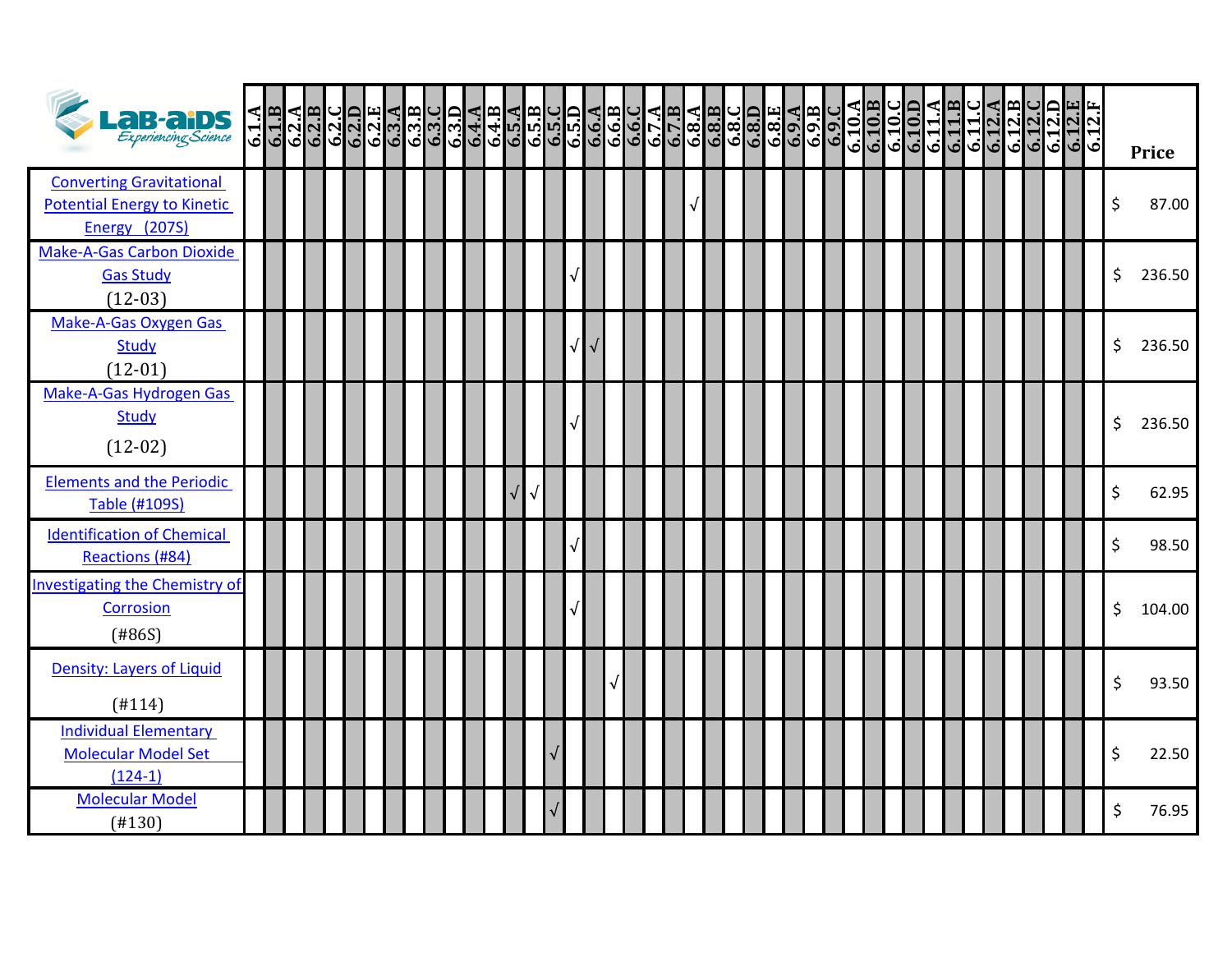| <b>LaB-aiDS</b>                                                                        | $\frac{6.1 \text{ A}}{6.1 \text{ B}}$ | $\frac{6.2 \text{ A}}{6.2 \text{ B}}$ |  |  |  |  |           |  |  |  |  |  |  |  | $\frac{6.10 \text{ A}}{6.10 \text{ B}}$ | $\frac{6.10}{6.10}$ |  | 6.11.4<br>6.11.6.12.8<br>6.11.2.8<br>6.12.0 |  | $\frac{6.12 \text{ D}}{6.12 \text{ E}}$ | 6.12.F | <b>Price</b> |
|----------------------------------------------------------------------------------------|---------------------------------------|---------------------------------------|--|--|--|--|-----------|--|--|--|--|--|--|--|-----------------------------------------|---------------------|--|---------------------------------------------|--|-----------------------------------------|--------|--------------|
| <b>Converting Gravitational</b><br><b>Potential Energy to Kinetic</b><br>Energy (207S) |                                       |                                       |  |  |  |  |           |  |  |  |  |  |  |  |                                         |                     |  |                                             |  |                                         |        | \$<br>87.00  |
| <b>Make-A-Gas Carbon Dioxide</b><br><b>Gas Study</b><br>$(12-03)$                      |                                       |                                       |  |  |  |  |           |  |  |  |  |  |  |  |                                         |                     |  |                                             |  |                                         |        | \$<br>236.50 |
| Make-A-Gas Oxygen Gas<br><b>Study</b><br>$(12-01)$                                     |                                       |                                       |  |  |  |  |           |  |  |  |  |  |  |  |                                         |                     |  |                                             |  |                                         |        | \$<br>236.50 |
| Make-A-Gas Hydrogen Gas<br><b>Study</b><br>$(12-02)$                                   |                                       |                                       |  |  |  |  |           |  |  |  |  |  |  |  |                                         |                     |  |                                             |  |                                         |        | \$<br>236.50 |
| <b>Elements and the Periodic</b><br><b>Table (#109S)</b>                               |                                       |                                       |  |  |  |  | $\sqrt{}$ |  |  |  |  |  |  |  |                                         |                     |  |                                             |  |                                         |        | \$<br>62.95  |
| <b>Identification of Chemical</b><br>Reactions (#84)                                   |                                       |                                       |  |  |  |  |           |  |  |  |  |  |  |  |                                         |                     |  |                                             |  |                                         |        | \$<br>98.50  |
| <b>Investigating the Chemistry of</b><br><b>Corrosion</b><br>(#86S)                    |                                       |                                       |  |  |  |  |           |  |  |  |  |  |  |  |                                         |                     |  |                                             |  |                                         |        | \$<br>104.00 |
| <b>Density: Layers of Liquid</b><br>(H114)                                             |                                       |                                       |  |  |  |  |           |  |  |  |  |  |  |  |                                         |                     |  |                                             |  |                                         |        | \$<br>93.50  |
| <b>Individual Elementary</b><br><b>Molecular Model Set</b><br>$(124-1)$                |                                       |                                       |  |  |  |  |           |  |  |  |  |  |  |  |                                         |                     |  |                                             |  |                                         |        | \$<br>22.50  |
| <b>Molecular Model</b><br>(H130)                                                       |                                       |                                       |  |  |  |  |           |  |  |  |  |  |  |  |                                         |                     |  |                                             |  |                                         |        | \$<br>76.95  |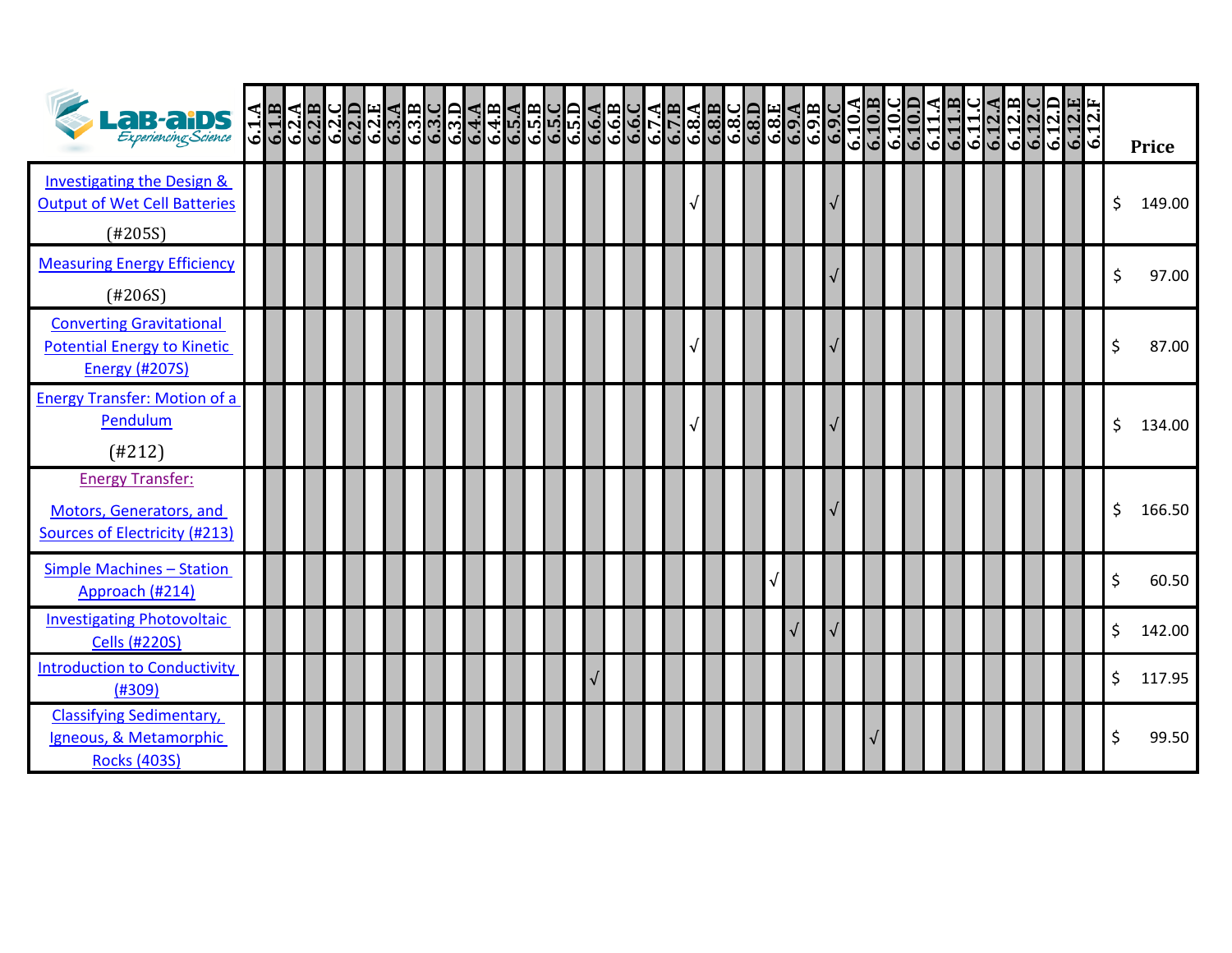| <b>La B-al DS</b><br>Experiencing Science                                                      | $\frac{6.1.8}{6.1.8}$ | $\frac{6.2 \text{ A}}{6.2 \text{ B}}$ | ပြုဝြမျှ<br>လူလူလူမှုပွဲလူပါ<br>ပြုပြုပြုပြုပါတယ် |  |  |  |  |  |  |  |  |  |  | 6.10.B<br>6.10. | $\frac{6.10}{6.101}$ | $\frac{6.11.1}{6.11.1}$ | $\frac{6.11.C}{6.12.A}$ | $6.12.B$<br>$6.12.C$ | $\frac{6.12 \text{ D}}{6.12 \text{ E}}$ | 6.12.1 |    | <b>Price</b> |
|------------------------------------------------------------------------------------------------|-----------------------|---------------------------------------|---------------------------------------------------|--|--|--|--|--|--|--|--|--|--|-----------------|----------------------|-------------------------|-------------------------|----------------------|-----------------------------------------|--------|----|--------------|
| <b>Investigating the Design &amp;</b><br><b>Output of Wet Cell Batteries</b><br>(H205S)        |                       |                                       |                                                   |  |  |  |  |  |  |  |  |  |  |                 |                      |                         |                         |                      |                                         |        | \$ | 149.00       |
| <b>Measuring Energy Efficiency</b><br>(#206S)                                                  |                       |                                       |                                                   |  |  |  |  |  |  |  |  |  |  |                 |                      |                         |                         |                      |                                         |        | Ś  | 97.00        |
| <b>Converting Gravitational</b><br><b>Potential Energy to Kinetic</b><br><b>Energy (#207S)</b> |                       |                                       |                                                   |  |  |  |  |  |  |  |  |  |  |                 |                      |                         |                         |                      |                                         |        |    | 87.00        |
| <b>Energy Transfer: Motion of a</b><br>Pendulum<br>(H212)                                      |                       |                                       |                                                   |  |  |  |  |  |  |  |  |  |  |                 |                      |                         |                         |                      |                                         |        | Ś  | 134.00       |
| <b>Energy Transfer:</b><br>Motors, Generators, and<br><b>Sources of Electricity (#213)</b>     |                       |                                       |                                                   |  |  |  |  |  |  |  |  |  |  |                 |                      |                         |                         |                      |                                         |        | Ś. | 166.50       |
| <b>Simple Machines - Station</b><br>Approach (#214)                                            |                       |                                       |                                                   |  |  |  |  |  |  |  |  |  |  |                 |                      |                         |                         |                      |                                         |        | \$ | 60.50        |
| <b>Investigating Photovoltaic</b><br><b>Cells (#220S)</b>                                      |                       |                                       |                                                   |  |  |  |  |  |  |  |  |  |  |                 |                      |                         |                         |                      |                                         |        | \$ | 142.00       |
| <b>Introduction to Conductivity</b><br>(H309)                                                  |                       |                                       |                                                   |  |  |  |  |  |  |  |  |  |  |                 |                      |                         |                         |                      |                                         |        | Ś  | 117.95       |
| <b>Classifying Sedimentary,</b><br>Igneous, & Metamorphic<br><b>Rocks (403S)</b>               |                       |                                       |                                                   |  |  |  |  |  |  |  |  |  |  |                 |                      |                         |                         |                      |                                         |        |    | 99.50        |